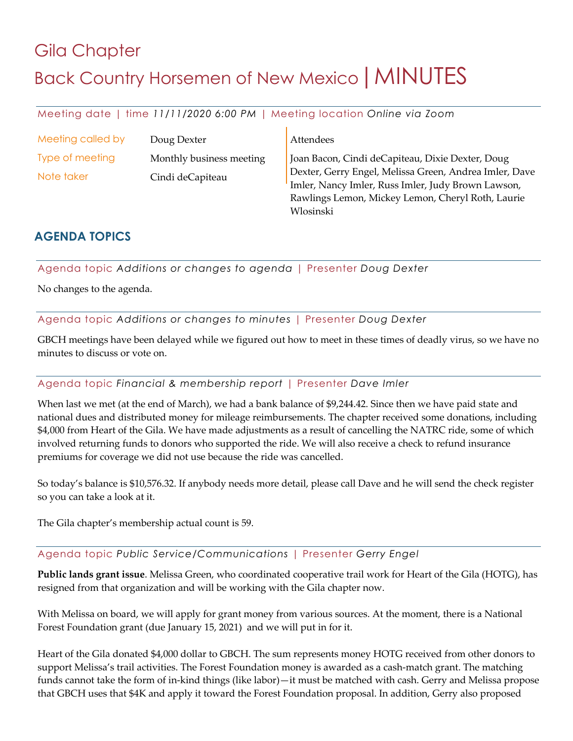# Gila Chapter Back Country Horsemen of New Mexico | MINUTES

Meeting date | time *11/11/2020 6:00 PM* | Meeting location *Online via Zoom*

| Meeting called by | Doug Dexter              | Attendees                                                                                                    |
|-------------------|--------------------------|--------------------------------------------------------------------------------------------------------------|
| Type of meeting   | Monthly business meeting | Joan Bacon, Cindi deCapiteau, Dixie Dexter, Doug                                                             |
| Note taker        | Cindi deCapiteau         | Dexter, Gerry Engel, Melissa Green, Andrea Imler, Dave<br>Imler, Nancy Imler, Russ Imler, Judy Brown Lawson, |
|                   |                          | Rawlings Lemon, Mickey Lemon, Cheryl Roth, Laurie                                                            |
|                   |                          | Wlosinski                                                                                                    |

## **AGENDA TOPICS**

Agenda topic *Additions or changes to agenda* | Presenter *Doug Dexter*

No changes to the agenda.

Agenda topic *Additions or changes to minutes* | Presenter *Doug Dexter*

GBCH meetings have been delayed while we figured out how to meet in these times of deadly virus, so we have no minutes to discuss or vote on.

### Agenda topic *Financial & membership report* | Presenter *Dave Imler*

When last we met (at the end of March), we had a bank balance of \$9,244.42. Since then we have paid state and national dues and distributed money for mileage reimbursements. The chapter received some donations, including \$4,000 from Heart of the Gila. We have made adjustments as a result of cancelling the NATRC ride, some of which involved returning funds to donors who supported the ride. We will also receive a check to refund insurance premiums for coverage we did not use because the ride was cancelled.

So today's balance is \$10,576.32. If anybody needs more detail, please call Dave and he will send the check register so you can take a look at it.

The Gila chapter's membership actual count is 59.

### Agenda topic *Public Service/Communications* | Presenter *Gerry Engel*

**Public lands grant issue**. Melissa Green, who coordinated cooperative trail work for Heart of the Gila (HOTG), has resigned from that organization and will be working with the Gila chapter now.

With Melissa on board, we will apply for grant money from various sources. At the moment, there is a National Forest Foundation grant (due January 15, 2021) and we will put in for it.

Heart of the Gila donated \$4,000 dollar to GBCH. The sum represents money HOTG received from other donors to support Melissa's trail activities. The Forest Foundation money is awarded as a cash-match grant. The matching funds cannot take the form of in-kind things (like labor)—it must be matched with cash. Gerry and Melissa propose that GBCH uses that \$4K and apply it toward the Forest Foundation proposal. In addition, Gerry also proposed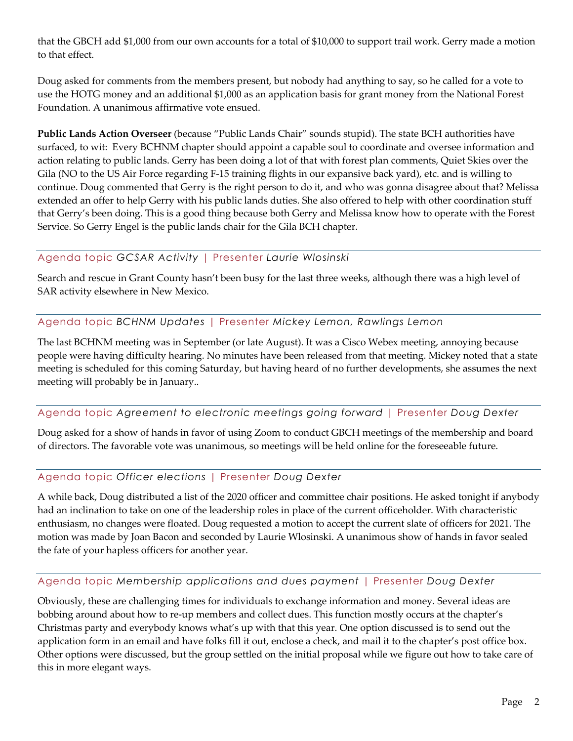that the GBCH add \$1,000 from our own accounts for a total of \$10,000 to support trail work. Gerry made a motion to that effect.

Doug asked for comments from the members present, but nobody had anything to say, so he called for a vote to use the HOTG money and an additional \$1,000 as an application basis for grant money from the National Forest Foundation. A unanimous affirmative vote ensued.

**Public Lands Action Overseer** (because "Public Lands Chair" sounds stupid). The state BCH authorities have surfaced, to wit: Every BCHNM chapter should appoint a capable soul to coordinate and oversee information and action relating to public lands. Gerry has been doing a lot of that with forest plan comments, Quiet Skies over the Gila (NO to the US Air Force regarding F-15 training flights in our expansive back yard), etc. and is willing to continue. Doug commented that Gerry is the right person to do it, and who was gonna disagree about that? Melissa extended an offer to help Gerry with his public lands duties. She also offered to help with other coordination stuff that Gerry's been doing. This is a good thing because both Gerry and Melissa know how to operate with the Forest Service. So Gerry Engel is the public lands chair for the Gila BCH chapter.

#### Agenda topic *GCSAR Activity* | Presenter *Laurie Wlosinski*

Search and rescue in Grant County hasn't been busy for the last three weeks, although there was a high level of SAR activity elsewhere in New Mexico.

#### Agenda topic *BCHNM Updates* | Presenter *Mickey Lemon, Rawlings Lemon*

The last BCHNM meeting was in September (or late August). It was a Cisco Webex meeting, annoying because people were having difficulty hearing. No minutes have been released from that meeting. Mickey noted that a state meeting is scheduled for this coming Saturday, but having heard of no further developments, she assumes the next meeting will probably be in January..

#### Agenda topic *Agreement to electronic meetings going forward* | Presenter *Doug Dexter*

Doug asked for a show of hands in favor of using Zoom to conduct GBCH meetings of the membership and board of directors. The favorable vote was unanimous, so meetings will be held online for the foreseeable future.

#### Agenda topic *Officer elections* | Presenter *Doug Dexter*

A while back, Doug distributed a list of the 2020 officer and committee chair positions. He asked tonight if anybody had an inclination to take on one of the leadership roles in place of the current officeholder. With characteristic enthusiasm, no changes were floated. Doug requested a motion to accept the current slate of officers for 2021. The motion was made by Joan Bacon and seconded by Laurie Wlosinski. A unanimous show of hands in favor sealed the fate of your hapless officers for another year.

#### Agenda topic *Membership applications and dues payment* | Presenter *Doug Dexter*

Obviously, these are challenging times for individuals to exchange information and money. Several ideas are bobbing around about how to re-up members and collect dues. This function mostly occurs at the chapter's Christmas party and everybody knows what's up with that this year. One option discussed is to send out the application form in an email and have folks fill it out, enclose a check, and mail it to the chapter's post office box. Other options were discussed, but the group settled on the initial proposal while we figure out how to take care of this in more elegant ways.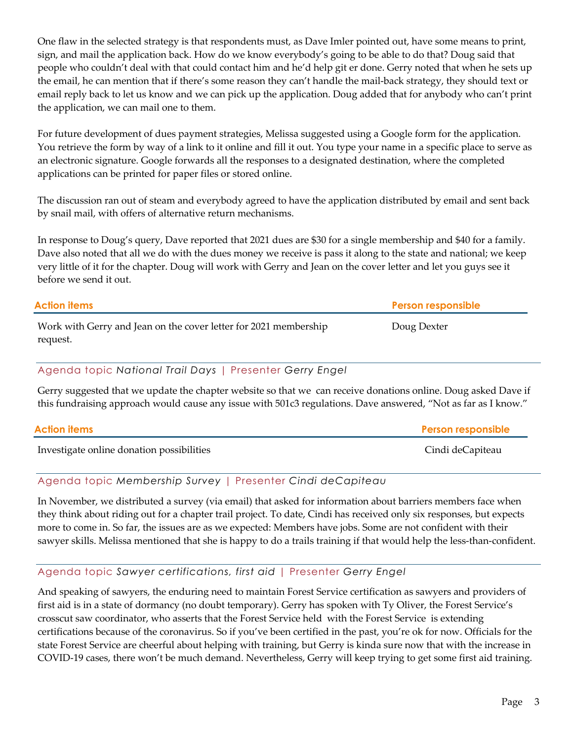One flaw in the selected strategy is that respondents must, as Dave Imler pointed out, have some means to print, sign, and mail the application back. How do we know everybody's going to be able to do that? Doug said that people who couldn't deal with that could contact him and he'd help git er done. Gerry noted that when he sets up the email, he can mention that if there's some reason they can't handle the mail-back strategy, they should text or email reply back to let us know and we can pick up the application. Doug added that for anybody who can't print the application, we can mail one to them.

For future development of dues payment strategies, Melissa suggested using a Google form for the application. You retrieve the form by way of a link to it online and fill it out. You type your name in a specific place to serve as an electronic signature. Google forwards all the responses to a designated destination, where the completed applications can be printed for paper files or stored online.

The discussion ran out of steam and everybody agreed to have the application distributed by email and sent back by snail mail, with offers of alternative return mechanisms.

In response to Doug's query, Dave reported that 2021 dues are \$30 for a single membership and \$40 for a family. Dave also noted that all we do with the dues money we receive is pass it along to the state and national; we keep very little of it for the chapter. Doug will work with Gerry and Jean on the cover letter and let you guys see it before we send it out.

| Action items                                                                 | <b>Person responsible</b> |
|------------------------------------------------------------------------------|---------------------------|
| Work with Gerry and Jean on the cover letter for 2021 membership<br>request. | Doug Dexter               |

### Agenda topic *National Trail Days* | Presenter *Gerry Engel*

Gerry suggested that we update the chapter website so that we can receive donations online. Doug asked Dave if this fundraising approach would cause any issue with 501c3 regulations. Dave answered, "Not as far as I know."

| <b>Action items</b>                       | <b>Person responsible</b> |
|-------------------------------------------|---------------------------|
| Investigate online donation possibilities | Cindi deCapiteau          |

#### Agenda topic *Membership Survey* | Presenter *Cindi deCapiteau*

In November, we distributed a survey (via email) that asked for information about barriers members face when they think about riding out for a chapter trail project. To date, Cindi has received only six responses, but expects more to come in. So far, the issues are as we expected: Members have jobs. Some are not confident with their sawyer skills. Melissa mentioned that she is happy to do a trails training if that would help the less-than-confident.

#### Agenda topic *Sawyer certifications, first aid* | Presenter *Gerry Engel*

And speaking of sawyers, the enduring need to maintain Forest Service certification as sawyers and providers of first aid is in a state of dormancy (no doubt temporary). Gerry has spoken with Ty Oliver, the Forest Service's crosscut saw coordinator, who asserts that the Forest Service held with the Forest Service is extending certifications because of the coronavirus. So if you've been certified in the past, you're ok for now. Officials for the state Forest Service are cheerful about helping with training, but Gerry is kinda sure now that with the increase in COVID-19 cases, there won't be much demand. Nevertheless, Gerry will keep trying to get some first aid training.